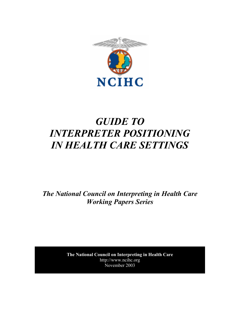

# *GUIDE TO INTERPRETER POSITIONING IN HEALTH CARE SETTINGS*

*The National Council on Interpreting in Health Care Working Papers Series* 

> **The National Council on Interpreting in Health Care**  http://www.ncihc.org November 2003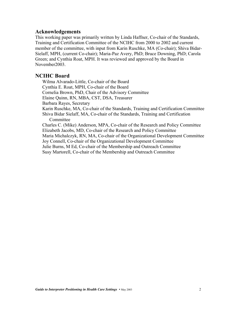### **Acknowledgements**

This working paper was primarily written by Linda Haffner, Co-chair of the Standards, Training and Certification Committee of the NCIHC from 2000 to 2002 and current member of the committee, with input from Karin Ruschke, MA (Co-chair); Shiva Bidar-Sielaff, MPH, (current Co-chair); Maria-Paz Avery, PhD; Bruce Downing, PhD; Carola Green; and Cynthia Roat, MPH. It was reviewed and approved by the Board in November2003.

# **NCIHC Board**

Wilma Alvarado-Little, Co-chair of the Board Cynthia E. Roat, MPH, Co-chair of the Board Cornelia Brown, PhD, Chair of the Advisory Committee Elaine Quinn, RN, MBA, CST, DSA, Treasurer Barbara Rayes, Secretary Karin Ruschke, MA, Co-chair of the Standards, Training and Certification Committee Shiva Bidar Sielaff, MA, Co-chair of the Standards, Training and Certification Committee Charles C. (Mike) Anderson, MPA, Co-chair of the Research and Policy Committee Elizabeth Jacobs, MD, Co-chair of the Research and Policy Committee Maria Michalczyk, RN, MA, Co-chair of the Organizational Development Committee Joy Connell, Co-chair of the Organizational Development Committee Julie Burns, M Ed, Co-chair of the Membership and Outreach Committee Susy Martorell, Co-chair of the Membership and Outreach Committee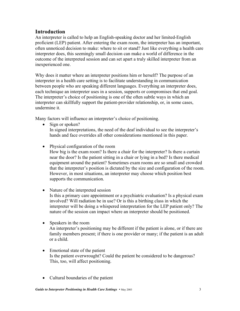# **Introduction**

An interpreter is called to help an English-speaking doctor and her limited-English proficient (LEP) patient. After entering the exam room, the interpreter has an important, often unnoticed decision to make: where to sit or stand? Just like everything a health care interpreter does, this seemingly small decision can make a world of difference in the outcome of the interpreted session and can set apart a truly skilled interpreter from an inexperienced one.

Why does it matter where an interpreter positions him or herself? The purpose of an interpreter in a health care setting is to facilitate understanding in communication between people who are speaking different languages. Everything an interpreter does, each technique an interpreter uses in a session, supports or compromises that end goal. The interpreter's choice of positioning is one of the often subtle ways in which an interpreter can skillfully support the patient-provider relationship, or, in some cases, undermine it.

Many factors will influence an interpreter's choice of positioning.

- Sign or spoken? In signed interpretations, the need of the deaf individual to see the interpreter's hands and face overrides all other considerations mentioned in this paper.
- Physical configuration of the room

How big is the exam room? Is there a chair for the interpreter? Is there a curtain near the door? Is the patient sitting in a chair or lying in a bed? Is there medical equipment around the patient? Sometimes exam rooms are so small and crowded that the interpreter's position is dictated by the size and configuration of the room. However, in most situations, an interpreter may choose which position best supports the communication.

- Nature of the interpreted session Is this a primary care appointment or a psychiatric evaluation? Is a physical exam involved? Will radiation be in use? Or is this a birthing class in which the interpreter will be doing a whispered interpretation for the LEP patient only? The nature of the session can impact where an interpreter should be positioned.
- Speakers in the room An interpreter's positioning may be different if the patient is alone, or if there are family members present; if there is one provider or many; if the patient is an adult or a child.
- Emotional state of the patient Is the patient overwrought? Could the patient be considered to be dangerous? This, too, will affect positioning.
- Cultural boundaries of the patient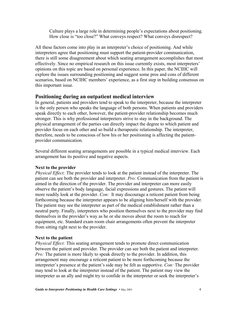Culture plays a large role in determining people's expectations about positioning. How close is "too close?" What conveys respect? What conveys disrespect?

All these factors come into play in an interpreter's choice of positioning. And while interpreters agree that positioning must support the patient-provider communication, there is still some disagreement about which seating arrangement accomplishes that most effectively. Since no empirical research on this issue currently exists, most interpreters' opinions on this topic are based on personal experience. In this paper, the NCIHC will explore the issues surrounding positioning and suggest some pros and cons of different scenarios, based on NCIHC members' experience, as a first step in building consensus on this important issue.

# **Positioning during an outpatient medical interview**

In general, patients and providers tend to speak to the interpreter, because the interpreter is the only person who speaks the language of both persons. When patients and providers speak directly to each other, however, the patient-provider relationship becomes much stronger. This is why professional interpreters strive to stay in the background. The physical arrangement of the parties can directly impact the degree to which patient and provider focus on each other and so build a therapeutic relationship. The interpreter, therefore, needs to be conscious of how his or her positioning is affecting the patientprovider communication.

Several different seating arrangements are possible in a typical medical interview. Each arrangement has its positive and negative aspects.

#### **Next to the provider**

*Physical Effect:* The provider tends to look at the patient instead of the interpreter. The patient can see both the provider and interpreter. *Pro:* Communication from the patient is aimed in the direction of the provider. The provider and interpreter can more easily observe the patient's body language, facial expressions and gestures. The patient will more readily look at the provider. *Con:* It may discourage a reticent patient from being forthcoming because the interpreter appears to be aligning him/herself with the provider. The patient may see the interpreter as part of the medical establishment rather than a neutral party. Finally, interpreters who position themselves next to the provider may find themselves in the provider's way as he or she moves about the room to reach for equipment, etc. Standard exam room chair arrangements often prevent the interpreter from sitting right next to the provider.

#### **Next to the patient**

*Physical Effect:* This seating arrangement tends to promote direct communication between the patient and provider. The provider can see both the patient and interpreter. *Pro:* The patient is more likely to speak directly to the provider. In addition, this arrangement may encourage a reticent patient to be more forthcoming because the interpreter's presence at the patient's side may be felt as supportive. *Con:* The provider may tend to look at the interpreter instead of the patient. The patient may view the interpreter as an ally and might try to confide in the interpreter or seek the interpreter's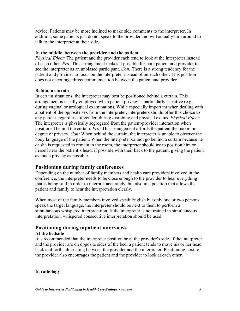advice. Patients may be more inclined to make side comments to the interpreter. In addition, some patients just do not speak to the provider and will actually turn around to talk to the interpreter at their side.

#### **In the middle, between the provider and the patient**

*Physical Effect:* The patient and the provider each tend to look at the interpreter instead of each other. *Pro:* This arrangement makes it possible for both patient and provider to see the interpreter as an unbiased participant. *Con:* There is a strong tendency for the patient and provider to focus on the interpreter instead of on each other. This position does not encourage direct communication between the patient and provider.

#### **Behind a curtain**

In certain situations, the interpreter may best be positioned behind a curtain. This arrangement is usually employed when patient privacy is particularly sensitive (e.g., during vaginal or urological examination). While especially important when dealing with a patient of the opposite sex from the interpreter, interpreters should offer this choice to any patient, regardless of gender, during disrobing and physical exams. *Physical Effect:* The interpreter is physically segregated from the patient-provider interaction when positioned behind the curtain. *Pro:* This arrangement affords the patient the maximum degree of privacy. *Con:* When behind the curtain, the interpreter is unable to observe the body language of the patient. When the interpreter cannot go behind a curtain because he or she is requested to remain in the room, the interpreter should try to position him or herself near the patient's head, if possible with their back to the patient, giving the patient as much privacy as possible.

#### **Positioning during family conferences**

Depending on the number of family members and health care providers involved in the conference, the interpreter needs to be close enough to the provider to hear everything that is being said in order to interpret accurately, but also in a position that allows the patient and family to hear the interpretation clearly.

When most of the family members involved speak English but only one or two persons speak the target language, the interpreter should be next to them to perform a simultaneous whispered interpretation. If the interpreter is not trained in simultaneous interpretation, whispered consecutive interpretation should be used.

# **Positioning during inpatient interviews**

#### **At the bedside**

It is recommended that the interpreter position be at the provider's side. If the interpreter and the provider are on opposite sides of the bed, a patient tends to move his or her head back and forth, alternating between the provider and the interpreter. Positioning next to the provider also encourages the patient and the provider to look at each other.

#### **In radiology**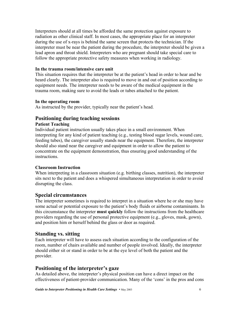Interpreters should at all times be afforded the same protection against exposure to radiation as other clinical staff. In most cases, the appropriate place for an interpreter during the use of x-rays is behind the same screen that protects the technician. If the interpreter must be near the patient during the procedure, the interpreter should be given a lead apron and throat shield. Interpreters who are pregnant should take special care to follow the appropriate protective safety measures when working in radiology.

#### **In the trauma room/intensive care unit**

This situation requires that the interpreter be at the patient's head in order to hear and be heard clearly. The interpreter also is required to move in and out of position according to equipment needs. The interpreter needs to be aware of the medical equipment in the trauma room, making sure to avoid the leads or tubes attached to the patient.

#### **In the operating room**

As instructed by the provider, typically near the patient's head.

## **Positioning during teaching sessions**

#### **Patient Teaching**

Individual patient instruction usually takes place in a small environment. When interpreting for any kind of patient teaching (e.g., testing blood sugar levels, wound care, feeding tubes), the caregiver usually stands near the equipment. Therefore, the interpreter should also stand near the caregiver and equipment in order to allow the patient to concentrate on the equipment demonstration, thus ensuring good understanding of the instructions.

#### **Classroom Instruction**

When interpreting in a classroom situation (e.g. birthing classes, nutrition), the interpreter sits next to the patient and does a whispered simultaneous interpretation in order to avoid disrupting the class.

## **Special circumstances**

The interpreter sometimes is required to interpret in a situation where he or she may have some actual or potential exposure to the patient's body fluids or airborne contaminants. In this circumstance the interpreter **must quickly** follow the instructions from the healthcare providers regarding the use of personal protective equipment (e.g., gloves, mask, gown), and position him or herself behind the glass or door as required.

## **Standing vs. sitting**

Each interpreter will have to assess each situation according to the configuration of the room, number of chairs available and number of people involved. Ideally, the interpreter should either sit or stand in order to be at the eye level of both the patient and the provider.

## **Positioning of the interpreter's gaze**

As detailed above, the interpreter's physical position can have a direct impact on the effectiveness of patient-provider communication. Many of the 'cons' in the pros and cons